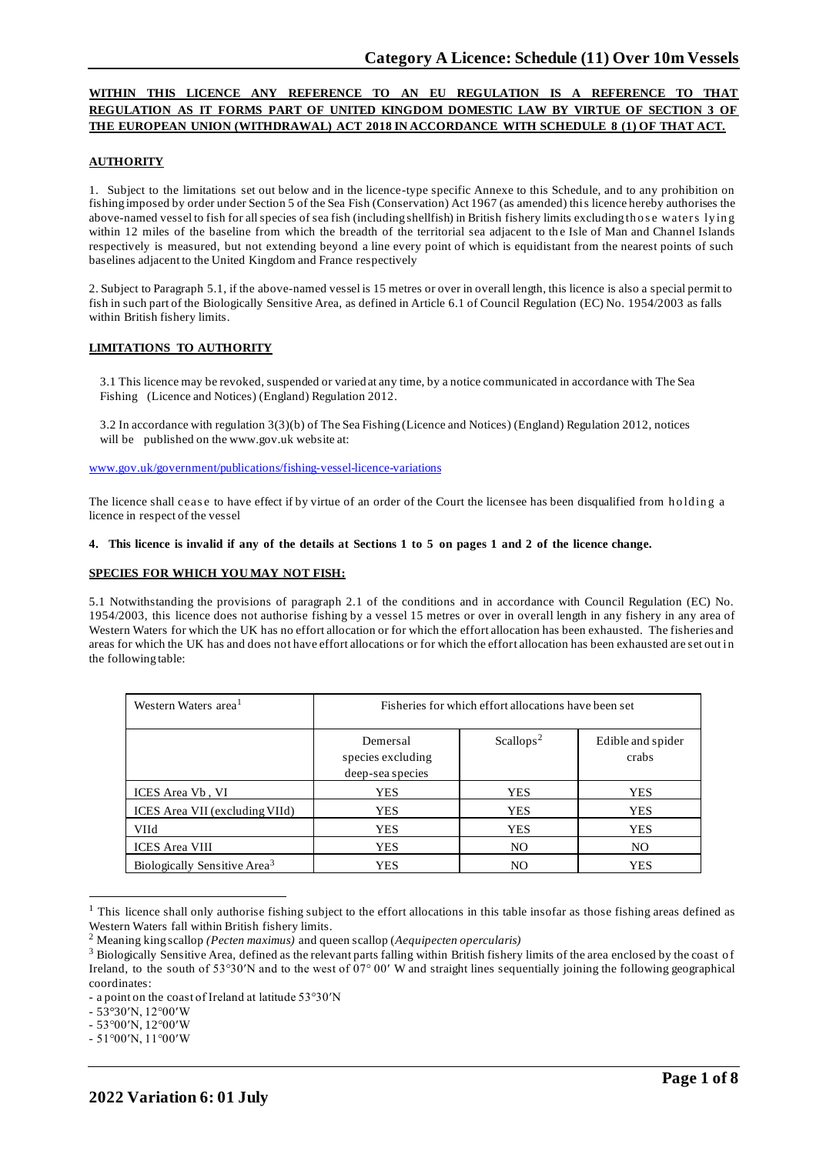# **WITHIN THIS LICENCE ANY REFERENCE TO AN EU REGULATION IS A REFERENCE TO THAT REGULATION AS IT FORMS PART OF UNITED KINGDOM DOMESTIC LAW BY VIRTUE OF SECTION 3 OF THE EUROPEAN UNION (WITHDRAWAL) ACT 2018 IN ACCORDANCE WITH SCHEDULE 8 (1) OF THAT ACT.**

### **AUTHORITY**

1. Subject to the limitations set out below and in the licence-type specific Annexe to this Schedule, and to any prohibition on fishing imposed by order under Section 5 of the Sea Fish (Conservation) Act 1967 (as amended) this licence hereby authorises the above-named vessel to fish for all species of sea fish (including shellfish) in British fishery limits excluding those waters lying within 12 miles of the baseline from which the breadth of the territorial sea adjacent to the Isle of Man and Channel Islands respectively is measured, but not extending beyond a line every point of which is equidistant from the nearest points of such baselines adjacent to the United Kingdom and France respectively

2. Subject to Paragraph 5.1, if the above-named vessel is 15 metres or over in overall length, this licence is also a special permit to fish in such part of the Biologically Sensitive Area, as defined in Article 6.1 of Council Regulation (EC) No. 1954/2003 as falls within British fishery limits.

#### **LIMITATIONS TO AUTHORITY**

3.1 This licence may be revoked, suspended or varied at any time, by a notice communicated in accordance with The Sea Fishing (Licence and Notices) (England) Regulation 2012.

3.2 In accordance with regulation 3(3)(b) of The Sea Fishing (Licence and Notices) (England) Regulation 2012, notices will be published on the [www.gov.uk](http://www.gov.uk/) website at:

[www.gov.uk/government/publications/fishing-vessel-licence-variations](http://www.gov.uk/government/publications/fishing-vessel-licence-variations)

The licence shall cease to have effect if by virtue of an order of the Court the licensee has been disqualified from holding a licence in respect of the vessel

#### 4. This licence is invalid if any of the details at Sections 1 to 5 on pages 1 and 2 of the licence change.

### **SPECIES FOR WHICH YOU MAY NOT FISH:**

5.1 Notwithstanding the provisions of paragraph 2.1 of the conditions and in accordance with Council Regulation (EC) No. 1954/2003, this licence does not authorise fishing by a vessel 15 metres or over in overall length in any fishery in any area of Western Waters for which the UK has no effort allocation or for which the effort allocation has been exhausted. The fisheries and areas for which the UK has and does not have effort allocations or for which the effort allocation has been exhausted are set out in the following table:

| Western Waters area <sup>1</sup>         | Fisheries for which effort allocations have been set |                       |                            |
|------------------------------------------|------------------------------------------------------|-----------------------|----------------------------|
|                                          | Demersal<br>species excluding<br>deep-sea species    | Scallops <sup>2</sup> | Edible and spider<br>crabs |
| ICES Area Vb, VI                         | YES                                                  | <b>YES</b>            | <b>YES</b>                 |
| ICES Area VII (excluding VIId)           | YES                                                  | <b>YES</b>            | <b>YES</b>                 |
| <b>VIId</b>                              | YES                                                  | <b>YES</b>            | <b>YES</b>                 |
| <b>ICES</b> Area VIII                    | <b>YES</b>                                           | NO                    | NO                         |
| Biologically Sensitive Area <sup>3</sup> | YES                                                  | NO.                   | <b>YES</b>                 |

<sup>&</sup>lt;sup>1</sup> This licence shall only authorise fishing subject to the effort allocations in this table insofar as those fishing areas defined as Western Waters fall within British fishery limits.

<sup>2</sup> Meaning king scallop *(Pecten maximus)* and queen scallop (*Aequipecten opercularis)*

<sup>&</sup>lt;sup>3</sup> Biologically Sensitive Area, defined as the relevant parts falling within British fishery limits of the area enclosed by the coast of Ireland, to the south of 53°30′N and to the west of 07° 00′ W and straight lines sequentially joining the following geographical coordinates:

<sup>-</sup> a point on the coast of Ireland at latitude 53°30′N

<sup>-</sup> 53°30′N, 12°00′W

<sup>-</sup> 53°00′N, 12°00′W

<sup>-</sup> 51°00′N, 11°00′W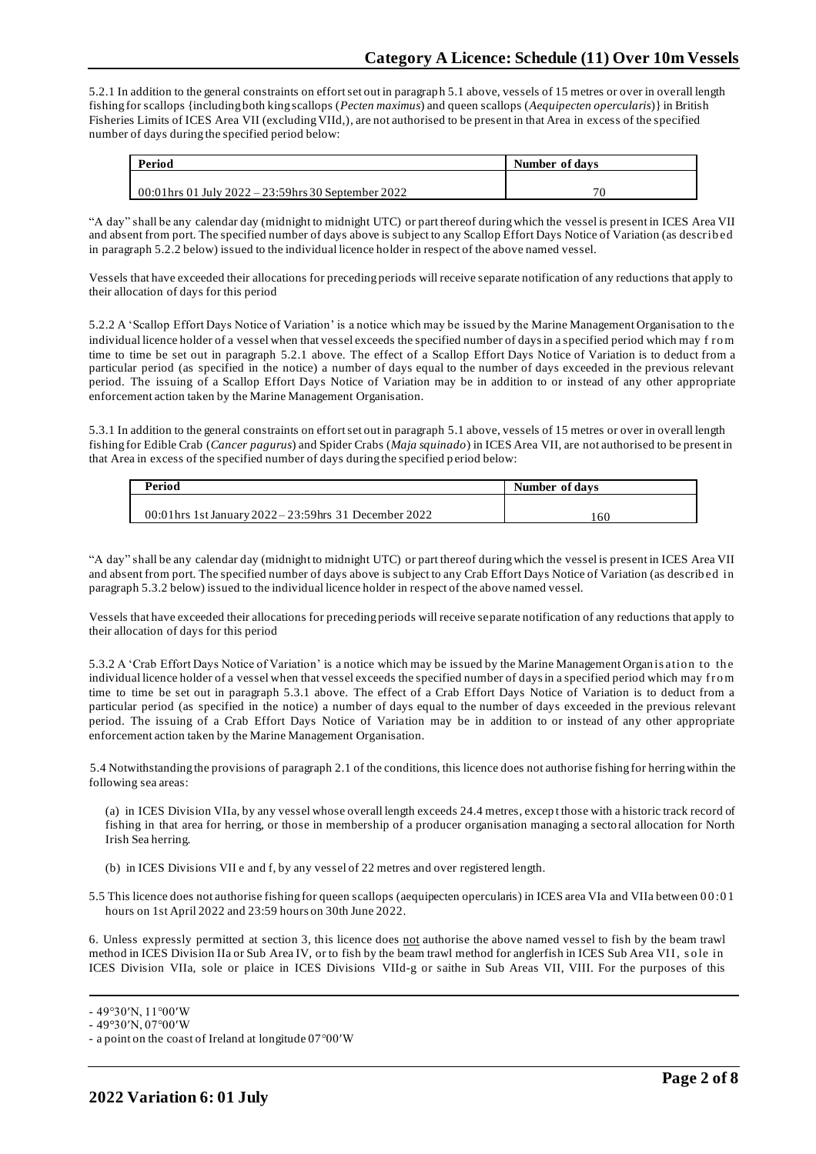5.2.1 In addition to the general constraints on effort set out in paragraph 5.1 above, vessels of 15 metres or over in overall length fishing for scallops {including both king scallops (*Pecten maximus*) and queen scallops (*Aequipecten opercularis*)} in British Fisheries Limits of ICES Area VII (excluding VIId,), are not authorised to be present in that Area in excess of the specified number of days during the specified period below:

| Period                                               | Number of days |  |
|------------------------------------------------------|----------------|--|
|                                                      |                |  |
| 00:01 hrs 01 July 2022 – 23:59 hrs 30 September 2022 | 70             |  |

"A day" shall be any calendar day (midnight to midnight UTC) or part thereof during which the vessel is present in ICES Area VII and absent from port. The specified number of days above is subject to any Scallop Effort Days Notice of Variation (as describ ed in paragraph 5.2.2 below) issued to the individual licence holder in respect of the above named vessel.

Vessels that have exceeded their allocations for preceding periods will receive separate notification of any reductions that apply to their allocation of days for this period

5.2.2 A 'Scallop Effort Days Notice of Variation' is a notice which may be issued by the Marine Management Organisation to th e individual licence holder of a vessel when that vessel exceeds the specified number of days in a specified period which may f ro m time to time be set out in paragraph 5.2.1 above. The effect of a Scallop Effort Days Notice of Variation is to deduct from a particular period (as specified in the notice) a number of days equal to the number of days exceeded in the previous relevant period. The issuing of a Scallop Effort Days Notice of Variation may be in addition to or instead of any other appropriate enforcement action taken by the Marine Management Organisation.

5.3.1 In addition to the general constraints on effort set out in paragraph 5.1 above, vessels of 15 metres or over in overall length fishing for Edible Crab (*Cancer pagurus*) and Spider Crabs (*Maja squinado*) in ICES Area VII, are not authorised to be present in that Area in excess of the specified number of days during the specified period below:

| Period                                                    | Number of days |
|-----------------------------------------------------------|----------------|
| 00:01 hrs 1st January $2022 - 23:59$ hrs 31 December 2022 | .60            |

"A day" shall be any calendar day (midnight to midnight UTC) or part thereof during which the vessel is present in ICES Area VII and absent from port. The specified number of days above is subject to any Crab Effort Days Notice of Variation (as describ ed in paragraph 5.3.2 below) issued to the individual licence holder in respect of the above named vessel.

Vessels that have exceeded their allocations for preceding periods will receive separate notification of any reductions that apply to their allocation of days for this period

5.3.2 A 'Crab Effort Days Notice of Variation' is a notice which may be issued by the Marine Management Organ is atio n to th e individual licence holder of a vessel when that vessel exceeds the specified number of days in a specified period which may from time to time be set out in paragraph 5.3.1 above. The effect of a Crab Effort Days Notice of Variation is to deduct from a particular period (as specified in the notice) a number of days equal to the number of days exceeded in the previous relevant period. The issuing of a Crab Effort Days Notice of Variation may be in addition to or instead of any other appropriate enforcement action taken by the Marine Management Organisation.

5.4 Notwithstanding the provisions of paragraph 2.1 of the conditions, this licence does not authorise fishing for herring within the following sea areas:

(a) in ICES Division VIIa, by any vessel whose overall length exceeds 24.4 metres, excep t those with a historic track record of fishing in that area for herring, or those in membership of a producer organisation managing a sectoral allocation for North Irish Sea herring.

- (b) in ICES Divisions VII e and f, by any vessel of 22 metres and over registered length.
- 5.5 This licence does not authorise fishing for queen scallops (aequipecten opercularis) in ICES area VIa and VIIa between 0 0 :0 1 hours on 1st April 2022 and 23:59 hours on 30th June 2022.

6. Unless expressly permitted at section 3, this licence does not authorise the above named vessel to fish by the beam trawl method in ICES Division IIa or Sub Area IV, or to fish by the beam trawl method for anglerfish in ICES Sub Area VII, so le in ICES Division VIIa, sole or plaice in ICES Divisions VIId-g or saithe in Sub Areas VII, VIII. For the purposes of this

<sup>-</sup> 49°30′N, 11°00′W

<sup>-</sup> 49°30′N, 07°00′W

<sup>-</sup> a point on the coast of Ireland at longitude 07°00′W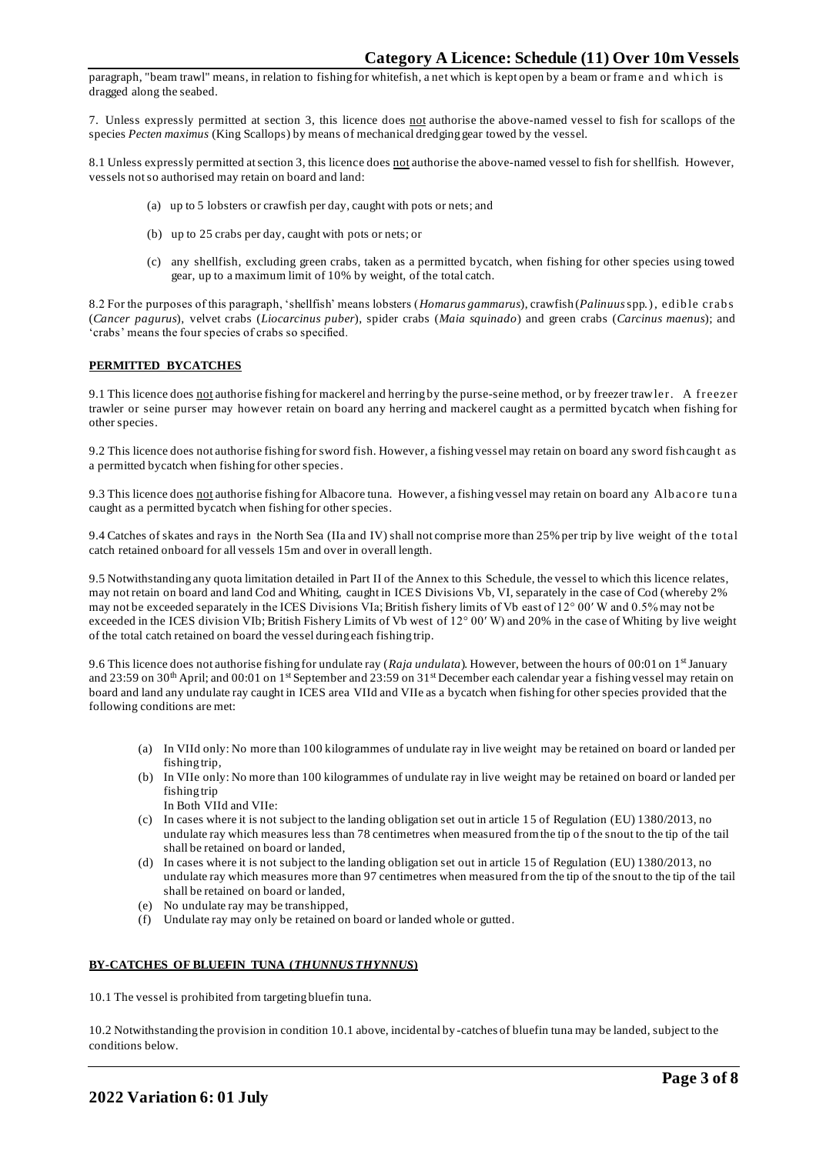paragraph, "beam trawl" means, in relation to fishing for whitefish, a net which is kept open by a beam or frame and which is dragged along the seabed.

7. Unless expressly permitted at section 3, this licence does not authorise the above-named vessel to fish for scallops of the species *Pecten maximus* (King Scallops) by means of mechanical dredging gear towed by the vessel.

8.1 Unless expressly permitted at section 3, this licence does not authorise the above-named vessel to fish for shellfish. However, vessels not so authorised may retain on board and land:

- (a) up to 5 lobsters or crawfish per day, caught with pots or nets; and
- (b) up to 25 crabs per day, caught with pots or nets; or
- (c) any shellfish, excluding green crabs, taken as a permitted bycatch, when fishing for other species using towed gear, up to a maximum limit of 10% by weight, of the total catch.

8.2 For the purposes of this paragraph, 'shellfish' means lobsters (*Homarus gammarus*), crawfish (*Palinuus* spp.), ed ib le crab s (*Cancer pagurus*), velvet crabs (*Liocarcinus puber*), spider crabs (*Maia squinado*) and green crabs (*Carcinus maenus*); and 'crabs' means the four species of crabs so specified.

### **PERMITTED BYCATCHES**

9.1 This licence does not authorise fishing for mackerel and herring by the purse-seine method, or by freezer trawler. A freezer trawler or seine purser may however retain on board any herring and mackerel caught as a permitted bycatch when fishing for other species.

9.2 This licence does not authorise fishing for sword fish. However, a fishing vessel may retain on board any sword fish caugh t as a permitted bycatch when fishing for other species.

9.3 This licence does not authorise fishing for Albacore tuna. However, a fishing vessel may retain on board any Albacore tuna caught as a permitted bycatch when fishing for other species.

9.4 Catches of skates and rays in the North Sea (IIa and IV) shall not comprise more than 25% per trip by live weight of the total catch retained onboard for all vessels 15m and over in overall length.

9.5 Notwithstanding any quota limitation detailed in Part II of the Annex to this Schedule, the vessel to which this licence relates, may not retain on board and land Cod and Whiting, caught in ICES Divisions Vb, VI, separately in the case of Cod (whereby 2% may not be exceeded separately in the ICES Divisions VIa; British fishery limits of Vb east of 12° 00′ W and 0.5% may not be exceeded in the ICES division VIb; British Fishery Limits of Vb west of 12° 00′ W) and 20% in the case of Whiting by live weight of the total catch retained on board the vessel during each fishing trip.

9.6 This licence does not authorise fishing for undulate ray (Raja undulata). However, between the hours of 00:01 on 1<sup>st</sup> January and 23:59 on 30<sup>th</sup> April; and 00:01 on 1<sup>st</sup> September and 23:59 on 31<sup>st</sup> December each calendar year a fishing vessel may retain on board and land any undulate ray caught in ICES area VIId and VIIe as a bycatch when fishing for other species provided that the following conditions are met:

- (a) In VIId only: No more than 100 kilogrammes of undulate ray in live weight may be retained on board or landed per fishing trip,
- (b) In VIIe only: No more than 100 kilogrammes of undulate ray in live weight may be retained on board or landed per fishing trip In Both VIId and VIIe:
- (c) In cases where it is not subject to the landing obligation set out in article 15 of Regulation (EU) 1380/2013, no undulate ray which measures less than 78 centimetres when measured from the tip of the snout to the tip of the tail shall be retained on board or landed,
- (d) In cases where it is not subject to the landing obligation set out in article 15 of Regulation (EU) 1380/2013, no undulate ray which measures more than 97 centimetres when measured from the tip of the snout to the tip of the tail shall be retained on board or landed,
- (e) No undulate ray may be transhipped,
- (f) Undulate ray may only be retained on board or landed whole or gutted.

#### **BY-CATCHES OF BLUEFIN TUNA (***THUNNUS THYNNUS***)**

10.1 The vessel is prohibited from targeting bluefin tuna.

10.2 Notwithstanding the provision in condition 10.1 above, incidental by -catches of bluefin tuna may be landed, subject to the conditions below.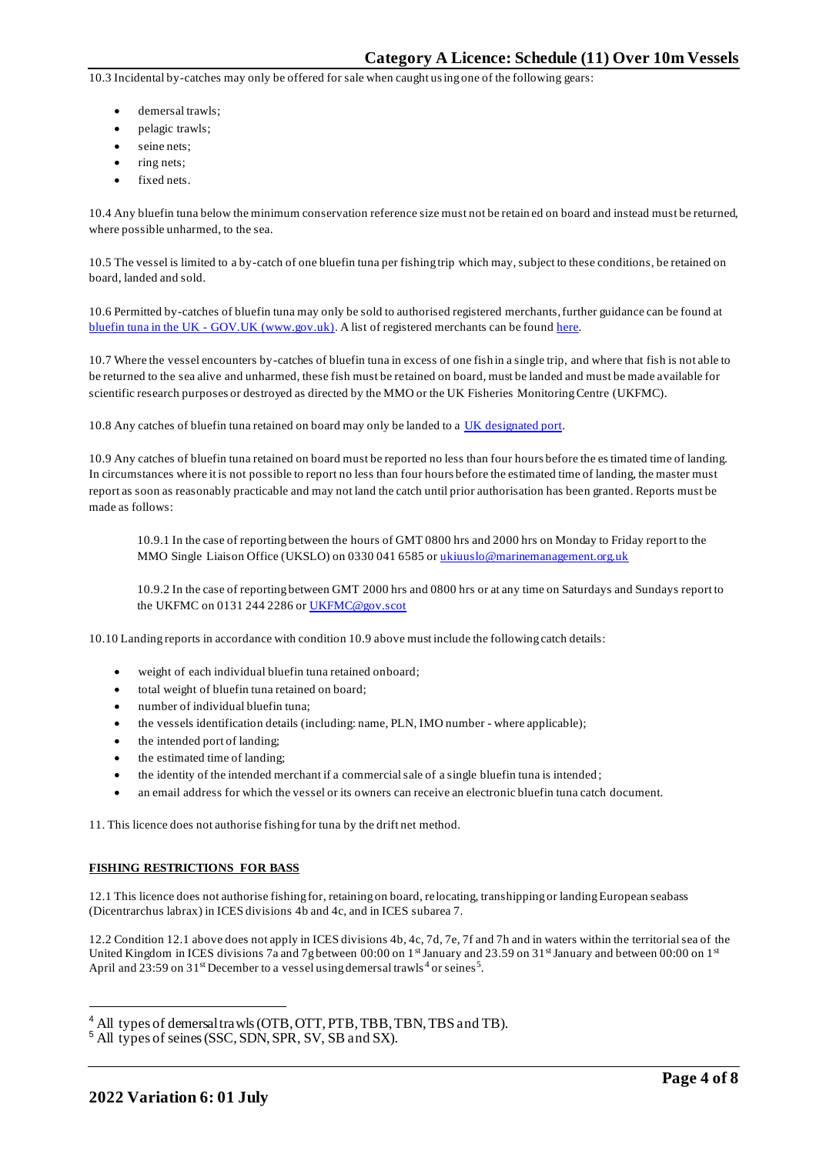10.3 Incidental by-catches may only be offered for sale when caught using one of the following gears:

- demersal trawls;
- pelagic trawls;
- seine nets:
- ring nets;
- fixed nets.

10.4 Any bluefin tuna below the minimum conservation reference size must not be retain ed on board and instead must be returned, where possible unharmed, to the sea.

10.5 The vessel is limited to a by-catch of one bluefin tuna per fishing trip which may, subject to these conditions, be retained on board, landed and sold.

10.6 Permitted by-catches of bluefin tuna may only be sold to authorised registered merchants, further guidance can be found at bluefin tuna in the UK - [GOV.UK \(www.gov.uk\).](https://www.gov.uk/guidance/bluefin-tuna-in-the-uk) A list of registered merchants can be foun[d here.](https://www.gov.uk/government/publications/bluefin-tuna-traders/registered-bluefin-tuna-traders)

10.7 Where the vessel encounters by-catches of bluefin tuna in excess of one fish in a single trip, and where that fish is not able to be returned to the sea alive and unharmed, these fish must be retained on board, must be landed and must be made available for scientific research purposes or destroyed as directed by the MMO or the UK Fisheries MonitoringCentre (UKFMC).

10.8 Any catches of bluefin tuna retained on board may only be landed to a [UK designated port.](https://www.gov.uk/government/publications/designated-ports/designated-ports-for-uk-flagged-vessels-landing-bluefin-tuna)

10.9 Any catches of bluefin tuna retained on board must be reported no less than four hours before the estimated time of landing. In circumstances where it is not possible to report no less than four hours before the estimated time of landing, the master must report as soon as reasonably practicable and may not land the catch until prior authorisation has been granted. Reports must be made as follows:

10.9.1 In the case of reporting between the hours of GMT 0800 hrs and 2000 hrs on Monday to Friday report to the MMO Single Liaison Office (UKSLO) on 0330 041 6585 o[r ukiuuslo@marinemanagement.org.uk](mailto:ukiuuslo@marinemanagement.org.uk)

10.9.2 In the case of reporting between GMT 2000 hrs and 0800 hrs or at any time on Saturdays and Sundays report to the UKFMC on 0131 244 2286 o[r UKFMC@gov.scot](mailto:UKFMC@gov.scot)

10.10 Landing reports in accordance with condition 10.9 above must include the following catch details:

- weight of each individual bluefin tuna retained onboard;
- total weight of bluefin tuna retained on board;
- number of individual bluefin tuna;
- the vessels identification details (including: name, PLN, IMO number where applicable);
- the intended port of landing;
- the estimated time of landing;
- the identity of the intended merchant if a commercial sale of a single bluefin tuna is intended ;
- an email address for which the vessel or its owners can receive an electronic bluefin tuna catch document.

11. This licence does not authorise fishing for tuna by the drift net method.

#### **FISHING RESTRICTIONS FOR BASS**

12.1 This licence does not authorise fishing for, retaining on board, relocating, transhipping or landing European seabass (Dicentrarchus labrax) in ICES divisions 4b and 4c, and in ICES subarea 7.

12.2 Condition 12.1 above does not apply in ICES divisions 4b, 4c, 7d, 7e, 7f and 7h and in waters within the territorial sea of the United Kingdom in ICES divisions 7a and 7g between 00:00 on  $1<sup>st</sup>$  January and 23.59 on 31st January and between 00:00 on  $1<sup>st</sup>$ April and 23:59 on  $31<sup>st</sup>$  December to a vessel using demersal trawls<sup>4</sup> or seines<sup>5</sup>.

<sup>&</sup>lt;sup>4</sup> All types of demersal trawls (OTB, OTT, PTB, TBB, TBN, TBS and TB).

<sup>5</sup> All types of seines (SSC, SDN, SPR, SV, SB and SX).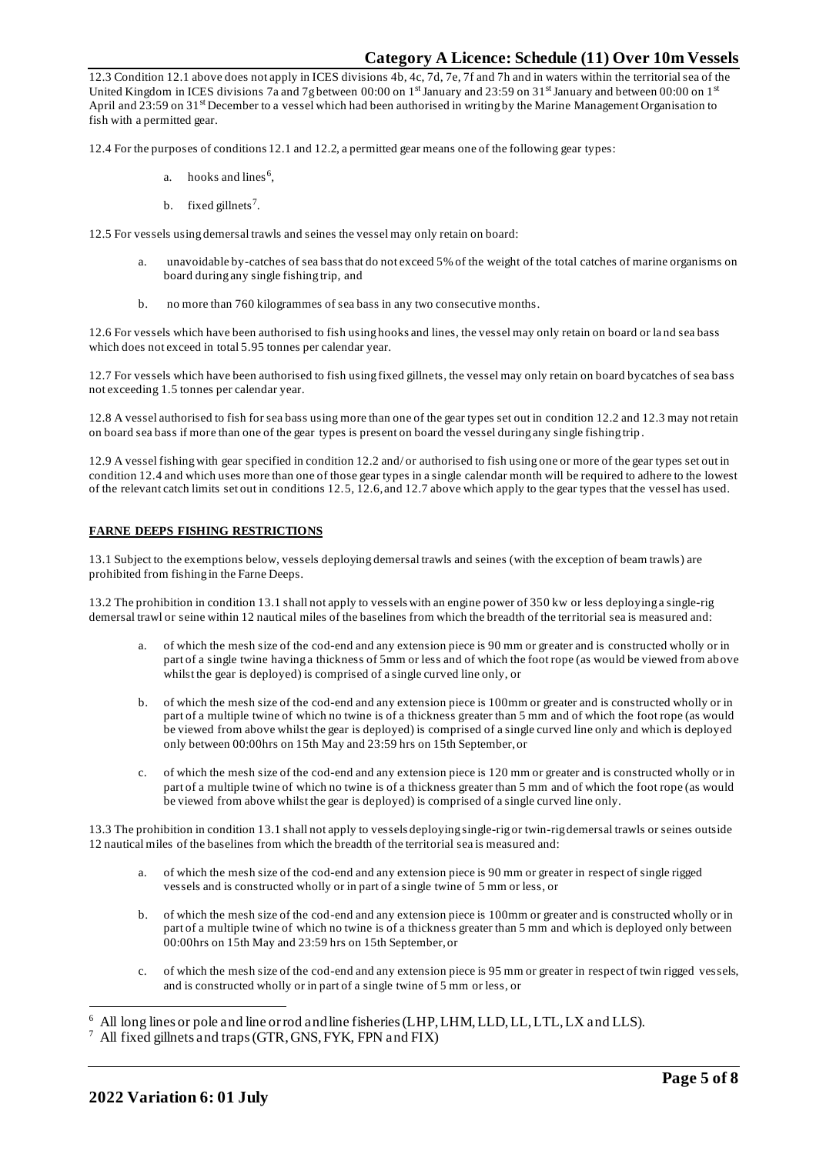12.3 Condition 12.1 above does not apply in ICES divisions 4b, 4c, 7d, 7e, 7f and 7h and in waters within the territorial sea of the United Kingdom in ICES divisions 7a and 7g between 00:00 on  $1<sup>st</sup>$  January and 23:59 on 31<sup>st</sup> January and between 00:00 on  $1<sup>st</sup>$ April and 23:59 on 31<sup>st</sup> December to a vessel which had been authorised in writing by the Marine Management Organisation to fish with a permitted gear.

12.4 For the purposes of conditions 12.1 and 12.2, a permitted gear means one of the following gear types:

- a. hooks and lines<sup>6</sup>,
- b. fixed gillnets<sup>7</sup>.

12.5 For vessels using demersal trawls and seines the vessel may only retain on board:

- a. unavoidable by-catches of sea bass that do not exceed 5% of the weight of the total catches of marine organisms on board during any single fishing trip, and
- b. no more than 760 kilogrammes of sea bass in any two consecutive months.

12.6 For vessels which have been authorised to fish using hooks and lines, the vessel may only retain on board or la nd sea bass which does not exceed in total 5.95 tonnes per calendar year.

12.7 For vessels which have been authorised to fish using fixed gillnets, the vessel may only retain on board bycatches of sea bass not exceeding 1.5 tonnes per calendar year.

12.8 A vessel authorised to fish for sea bass using more than one of the gear types set out in condition 12.2 and 12.3 may not retain on board sea bass if more than one of the gear types is present on board the vessel during any single fishing trip .

12.9 A vessel fishing with gear specified in condition 12.2 and/ or authorised to fish using one or more of the gear types set out in condition 12.4 and which uses more than one of those gear types in a single calendar month will be required to adhere to the lowest of the relevant catch limits set out in conditions 12.5, 12.6, and 12.7 above which apply to the gear types that the vessel has used.

### **FARNE DEEPS FISHING RESTRICTIONS**

13.1 Subject to the exemptions below, vessels deploying demersal trawls and seines (with the exception of beam trawls) are prohibited from fishing in the Farne Deeps.

13.2 The prohibition in condition 13.1 shall not apply to vessels with an engine power of 350 kw or less deploying a single-rig demersal trawl or seine within 12 nautical miles of the baselines from which the breadth of the territorial sea is measured and:

- of which the mesh size of the cod-end and any extension piece is 90 mm or greater and is constructed wholly or in part of a single twine having a thickness of 5mm or less and of which the foot rope (as would be viewed from above whilst the gear is deployed) is comprised of a single curved line only, or
- b. of which the mesh size of the cod-end and any extension piece is 100mm or greater and is constructed wholly or in part of a multiple twine of which no twine is of a thickness greater than 5 mm and of which the foot rope (as would be viewed from above whilst the gear is deployed) is comprised of a single curved line only and which is deployed only between 00:00hrs on 15th May and 23:59 hrs on 15th September, or
- c. of which the mesh size of the cod-end and any extension piece is 120 mm or greater and is constructed wholly or in part of a multiple twine of which no twine is of a thickness greater than 5 mm and of which the foot rope (as would be viewed from above whilst the gear is deployed) is comprised of a single curved line only.

13.3 The prohibition in condition 13.1 shall not apply to vessels deploying single-rig or twin-rig demersal trawls or seines outside 12 nautical miles of the baselines from which the breadth of the territorial sea is measured and:

- a. of which the mesh size of the cod-end and any extension piece is 90 mm or greater in respect of single rigged vessels and is constructed wholly or in part of a single twine of 5 mm or less, or
- b. of which the mesh size of the cod-end and any extension piece is 100mm or greater and is constructed wholly or in part of a multiple twine of which no twine is of a thickness greater than 5 mm and which is deployed only between 00:00hrs on 15th May and 23:59 hrs on 15th September, or
- c. of which the mesh size of the cod-end and any extension piece is 95 mm or greater in respect of twin rigged vessels, and is constructed wholly or in part of a single twine of 5 mm or less, or

<sup>6</sup> All long lines or pole and line or rod and line fisheries (LHP, LHM, LLD, LL, LTL, LX and LLS).

<sup>7</sup> All fixed gillnets and traps (GTR, GNS, FYK, FPN and FIX)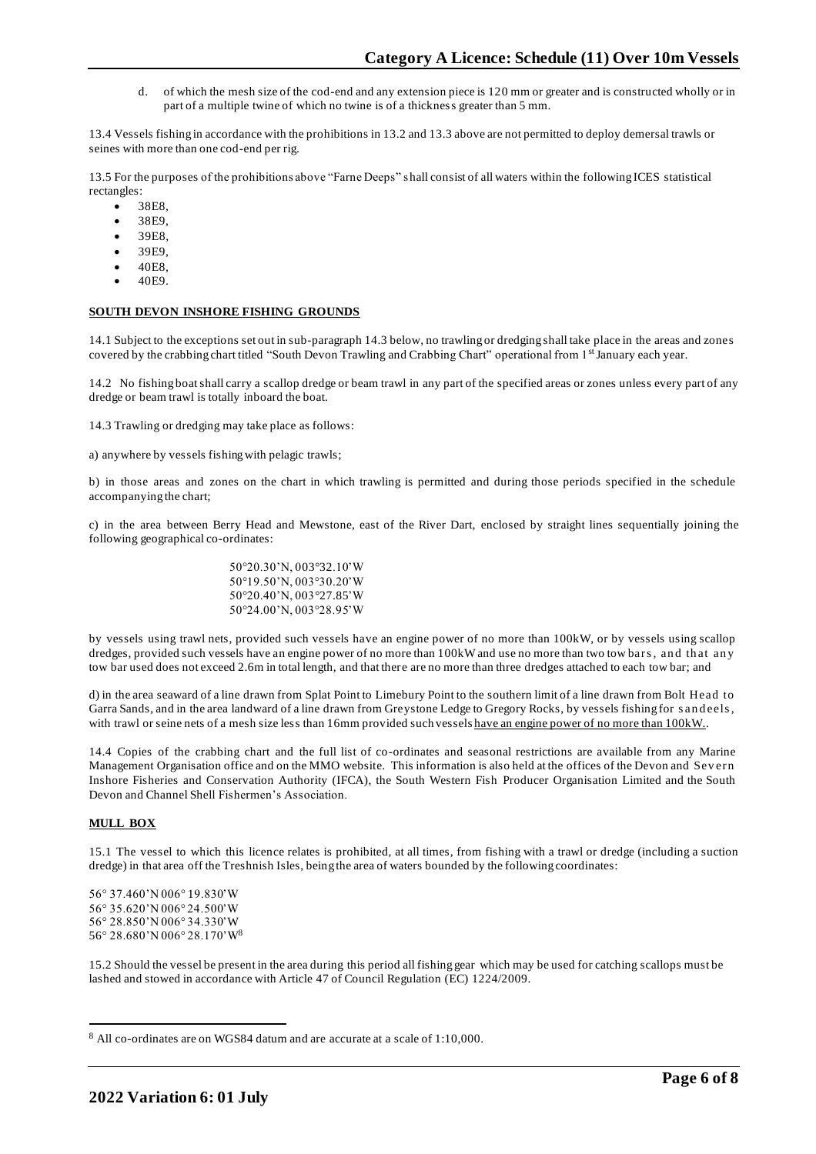d. of which the mesh size of the cod-end and any extension piece is 120 mm or greater and is constructed wholly or in part of a multiple twine of which no twine is of a thickness greater than 5 mm.

13.4 Vessels fishing in accordance with the prohibitions in 13.2 and 13.3 above are not permitted to deploy demersal trawls or seines with more than one cod-end per rig.

13.5 For the purposes of the prohibitions above "Farne Deeps" shall consist of all waters within the following ICES statistical rectangles:

- 38E8,
- 38E9.
- 39E8.
- 39E9,
- 40E8,
- 40E9.

#### **SOUTH DEVON INSHORE FISHING GROUNDS**

14.1 Subject to the exceptions set out in sub-paragraph 14.3 below, no trawling or dredging shall take place in the areas and zones covered by the crabbing chart titled "South Devon Trawling and Crabbing Chart" operational from 1st January each year.

14.2 No fishing boat shall carry a scallop dredge or beam trawl in any part of the specified areas or zones unless every part of any dredge or beam trawl is totally inboard the boat.

14.3 Trawling or dredging may take place as follows:

a) anywhere by vessels fishing with pelagic trawls;

b) in those areas and zones on the chart in which trawling is permitted and during those periods specified in the schedule accompanying the chart;

c) in the area between Berry Head and Mewstone, east of the River Dart, enclosed by straight lines sequentially joining the following geographical co-ordinates:

> 50°20.30'N, 003°32.10'W 50°19.50'N, 003°30.20'W 50°20.40'N, 003°27.85'W 50°24.00'N, 003°28.95'W

by vessels using trawl nets, provided such vessels have an engine power of no more than 100kW, or by vessels using scallop dredges, provided such vessels have an engine power of no more than 100kW and use no more than two tow bars, and that any tow bar used does not exceed 2.6m in total length, and that there are no more than three dredges attached to each tow bar; and

d) in the area seaward of a line drawn from Splat Point to Limebury Point to the southern limit of a line drawn from Bolt Head to Garra Sands, and in the area landward of a line drawn from Greystone Ledge to Gregory Rocks, by vessels fishing for s an deels, with trawl or seine nets of a mesh size less than 16mm provided such vessels have an engine power of no more than 100kW..

14.4 Copies of the crabbing chart and the full list of co-ordinates and seasonal restrictions are available from any Marine Management Organisation office and on the MMO website. This information is also held at the offices of the Devon and Sev ern Inshore Fisheries and Conservation Authority (IFCA), the South Western Fish Producer Organisation Limited and the South Devon and Channel Shell Fishermen's Association.

# **MULL BOX**

15.1 The vessel to which this licence relates is prohibited, at all times, from fishing with a trawl or dredge (including a suction dredge) in that area off the Treshnish Isles, being the area of waters bounded by the following coordinates:

56° 37.460'N 006° 19.830'W 56° 35.620'N 006° 24.500'W 56° 28.850'N 006° 34.330'W 56° 28.680'N 006° 28.170'W<sup>8</sup>

15.2 Should the vessel be present in the area during this period all fishing gear which may be used for catching scallops must be lashed and stowed in accordance with Article 47 of Council Regulation (EC) 1224/2009.

<sup>8</sup> All co-ordinates are on WGS84 datum and are accurate at a scale of 1:10,000.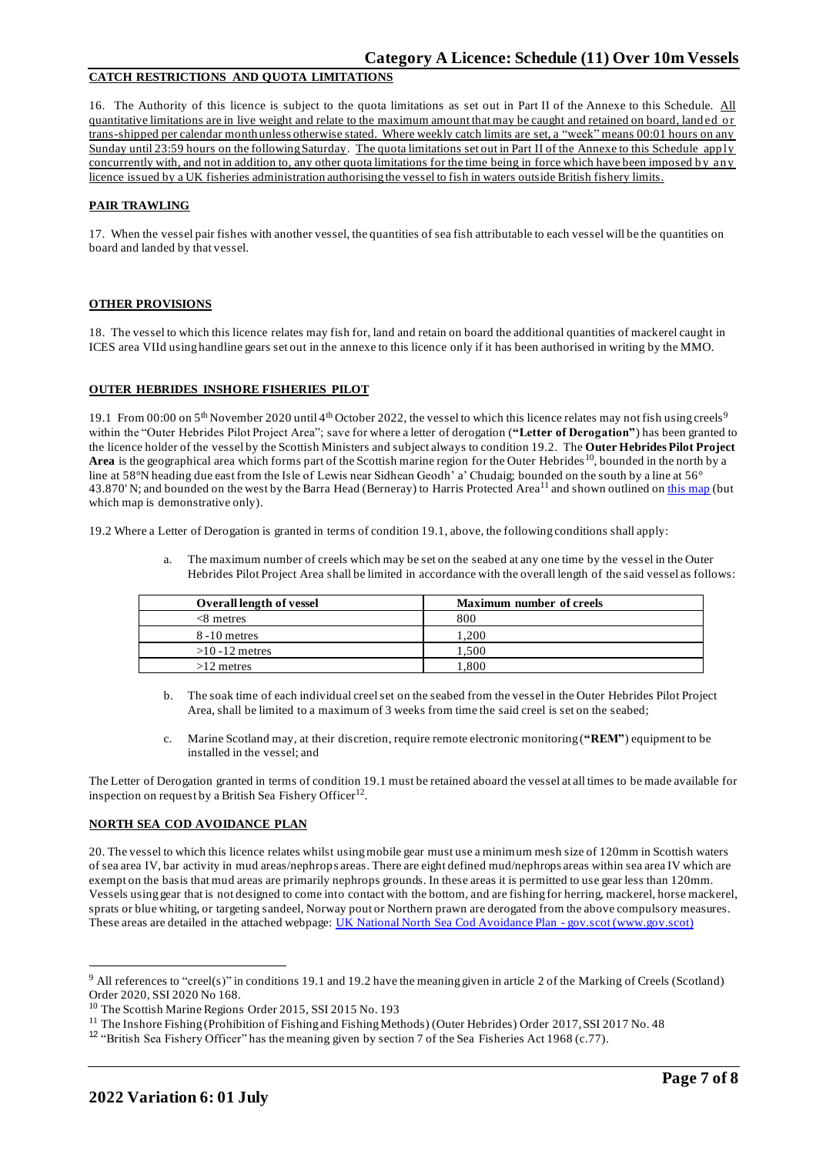# **CATCH RESTRICTIONS AND QUOTA LIMITATIONS**

16. The Authority of this licence is subject to the quota limitations as set out in Part II of the Annexe to this Schedule. All quantitative limitations are in live weight and relate to the maximum amount that may be caught and retained on board, landed or trans-shipped per calendar month unless otherwise stated. Where weekly catch limits are set, a "week" means 00:01 hours on any Sunday until 23:59 hours on the following Saturday. The quota limitations set out in Part II of the Annexe to this Schedule apply concurrently with, and not in addition to, any other quota limitations for the time being in force which have been imposed by any licence issued by a UK fisheries administration authorising the vessel to fish in waters outside British fishery limits.

#### **PAIR TRAWLING**

17. When the vessel pair fishes with another vessel, the quantities of sea fish attributable to each vessel will be the quantities on board and landed by that vessel.

# **OTHER PROVISIONS**

18. The vessel to which this licence relates may fish for, land and retain on board the additional quantities of mackerel caught in ICES area VIId using handline gears set out in the annexe to this licence only if it has been authorised in writing by the MMO.

# **OUTER HEBRIDES INSHORE FISHERIES PILOT**

19.1 From 00:00 on 5<sup>th</sup> November 2020 until 4<sup>th</sup> October 2022, the vessel to which this licence relates may not fish using creels<sup>9</sup> within the "Outer Hebrides Pilot Project Area"; save for where a letter of derogation (**"Letter of Derogation"**) has been granted to the licence holder of the vessel by the Scottish Ministers and subject always to condition 19.2. The **Outer Hebrides Pilot Project Area** is the geographical area which forms part of the Scottish marine region for the Outer Hebrides<sup>10</sup>, bounded in the north by a line at 58°N heading due east from the Isle of Lewis near Sidhean Geodh' a' Chudaig; bounded on the south by a line at 56° 43.870' N; and bounded on the west by the Barra Head (Berneray) to Harris Protected Area<sup>11</sup> and shown outlined on [this map](https://www.gov.scot/publications/outer-hebrides-inshore-fisheries-pilot-area) (but which map is demonstrative only).

19.2 Where a Letter of Derogation is granted in terms of condition 19.1, above, the following conditions shall apply:

a. The maximum number of creels which may be set on the seabed at any one time by the vessel in the Outer Hebrides Pilot Project Area shall be limited in accordance with the overall length of the said vessel as follows:

| <b>Overall length of vessel</b> | <b>Maximum number of creels</b> |
|---------------------------------|---------------------------------|
| $<8$ metres                     | 800                             |
| $8 - 10$ metres                 | .200                            |
| $>10 - 12$ metres               | .500                            |
| $>12$ metres                    | 0.800                           |

- b. The soak time of each individual creel set on the seabed from the vessel in the Outer Hebrides Pilot Project Area, shall be limited to a maximum of 3 weeks from time the said creel is set on the seabed;
- c. Marine Scotland may, at their discretion, require remote electronic monitoring (**"REM"**) equipment to be installed in the vessel; and

The Letter of Derogation granted in terms of condition 19.1 must be retained aboard the vessel at all times to be made available for inspection on request by a British Sea Fishery Officer<sup>12</sup>.

#### **NORTH SEA COD AVOIDANCE PLAN**

20. The vessel to which this licence relates whilst using mobile gear must use a minimum mesh size of 120mm in Scottish waters of sea area IV, bar activity in mud areas/nephrops areas. There are eight defined mud/nephrops areas within sea area IV which are exempt on the basis that mud areas are primarily nephrops grounds. In these areas it is permitted to use gear less than 120mm. Vessels using gear that is not designed to come into contact with the bottom, and are fishing for herring, mackerel, horse mackerel, sprats or blue whiting, or targeting sandeel, Norway pout or Northern prawn are derogated from the above compulsory measures. These areas are detailed in the attached webpage: [UK National North Sea Cod Avoidance Plan -](https://eur03.safelinks.protection.outlook.com/?url=https%3A%2F%2Fwww.gov.scot%2Fpublications%2Fnorth-sea-cod-plan%2F&data=04%7C01%7CNeal.Joicey%40marinemanagement.org.uk%7Cec7de88063ff469dbe6108d8acce3261%7C770a245002274c6290c74e38537f1102%7C1%7C0%7C637449348919731757%7CUnknown%7CTWFpbGZsb3d8eyJWIjoiMC4wLjAwMDAiLCJQIjoiV2luMzIiLCJBTiI6Ik1haWwiLCJXVCI6Mn0%3D%7C1000&sdata=yY%2B8k3tNYa5UZI3hB3JhcXWVS8v%2BF%2BwdOxIe9UuvGHg%3D&reserved=0) gov.scot (www.gov.scot)

<sup>9</sup> All references to "creel(s)" in conditions 19.1 and 19.2 have the meaning given in article 2 of the Marking of Creels (Scotland) Order 2020, SSI 2020 No 168.

<sup>&</sup>lt;sup>10</sup> The Scottish Marine Regions Order 2015, SSI 2015 No. 193

<sup>&</sup>lt;sup>11</sup> The Inshore Fishing (Prohibition of Fishing and Fishing Methods) (Outer Hebrides) Order 2017, SSI 2017 No. 48

<sup>&</sup>lt;sup>12</sup> "British Sea Fishery Officer" has the meaning given by section 7 of the Sea Fisheries Act 1968 (c.77).